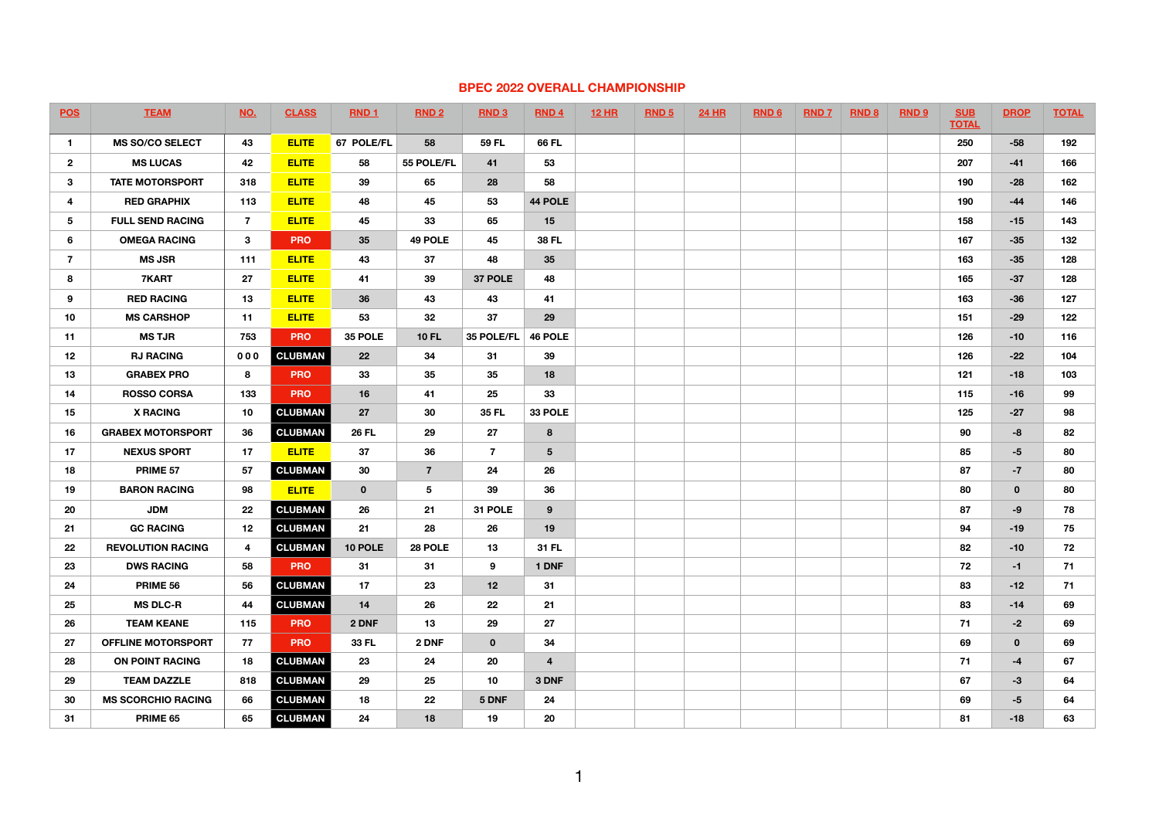## **BPEC 2022 OVERALL CHAMPIONSHIP**

| <b>POS</b>      | <b>TEAM</b>               | <b>NO.</b>     | <b>CLASS</b>   | RND <sub>1</sub> | RND <sub>2</sub> | RND 3          | RND 4          | <b>12 HR</b> | RND <sub>5</sub> | <b>24 HR</b> | <b>RND6</b> | <b>RND7</b> | <b>RND 8</b> | RND <sub>9</sub> | <b>SUB</b><br><b>TOTAL</b> | <b>DROP</b> | <b>TOTAL</b> |
|-----------------|---------------------------|----------------|----------------|------------------|------------------|----------------|----------------|--------------|------------------|--------------|-------------|-------------|--------------|------------------|----------------------------|-------------|--------------|
| $\mathbf{1}$    | <b>MS SO/CO SELECT</b>    | 43             | <b>ELITE</b>   | 67 POLE/FL       | 58               | 59 FL          | 66 FL          |              |                  |              |             |             |              |                  | 250                        | $-58$       | 192          |
| $\overline{2}$  | <b>MS LUCAS</b>           | 42             | <b>ELITE</b>   | 58               | 55 POLE/FL       | 41             | 53             |              |                  |              |             |             |              |                  | 207                        | $-41$       | 166          |
| $\mathbf{3}$    | <b>TATE MOTORSPORT</b>    | 318            | <b>ELITE</b>   | 39               | 65               | 28             | 58             |              |                  |              |             |             |              |                  | 190                        | $-28$       | 162          |
| 4               | <b>RED GRAPHIX</b>        | 113            | <b>ELITE</b>   | 48               | 45               | 53             | 44 POLE        |              |                  |              |             |             |              |                  | 190                        | $-44$       | 146          |
| $5\phantom{.0}$ | <b>FULL SEND RACING</b>   | $\overline{7}$ | <b>ELITE</b>   | 45               | 33               | 65             | 15             |              |                  |              |             |             |              |                  | 158                        | $-15$       | 143          |
| 6               | <b>OMEGA RACING</b>       | $3\phantom{a}$ | <b>PRO</b>     | 35               | 49 POLE          | 45             | 38 FL          |              |                  |              |             |             |              |                  | 167                        | $-35$       | 132          |
| $\overline{7}$  | <b>MS JSR</b>             | 111            | <b>ELITE</b>   | 43               | 37               | 48             | 35             |              |                  |              |             |             |              |                  | 163                        | $-35$       | 128          |
| 8               | 7KART                     | 27             | <b>ELITE</b>   | 41               | 39               | 37 POLE        | 48             |              |                  |              |             |             |              |                  | 165                        | $-37$       | 128          |
| 9               | <b>RED RACING</b>         | 13             | <b>ELITE</b>   | 36               | 43               | 43             | 41             |              |                  |              |             |             |              |                  | 163                        | $-36$       | 127          |
| 10              | <b>MS CARSHOP</b>         | 11             | <b>ELITE</b>   | 53               | 32               | 37             | 29             |              |                  |              |             |             |              |                  | 151                        | $-29$       | 122          |
| 11              | <b>MS TJR</b>             | 753            | <b>PRO</b>     | 35 POLE          | <b>10 FL</b>     | 35 POLE/FL     | 46 POLE        |              |                  |              |             |             |              |                  | 126                        | $-10$       | 116          |
| 12              | <b>RJ RACING</b>          | 000            | <b>CLUBMAN</b> | 22               | 34               | 31             | 39             |              |                  |              |             |             |              |                  | 126                        | $-22$       | 104          |
| 13              | <b>GRABEX PRO</b>         | 8              | <b>PRO</b>     | 33               | 35               | 35             | 18             |              |                  |              |             |             |              |                  | 121                        | $-18$       | 103          |
| 14              | <b>ROSSO CORSA</b>        | 133            | <b>PRO</b>     | 16               | 41               | 25             | 33             |              |                  |              |             |             |              |                  | 115                        | $-16$       | 99           |
| 15              | <b>X RACING</b>           | 10             | <b>CLUBMAN</b> | 27               | 30               | 35 FL          | 33 POLE        |              |                  |              |             |             |              |                  | 125                        | $-27$       | 98           |
| 16              | <b>GRABEX MOTORSPORT</b>  | 36             | <b>CLUBMAN</b> | <b>26 FL</b>     | 29               | 27             | 8              |              |                  |              |             |             |              |                  | 90                         | $-8$        | 82           |
| 17              | <b>NEXUS SPORT</b>        | 17             | <b>ELITE</b>   | 37               | 36               | $\overline{7}$ | 5 <sup>5</sup> |              |                  |              |             |             |              |                  | 85                         | $-5$        | 80           |
| 18              | PRIME 57                  | 57             | <b>CLUBMAN</b> | 30               | $\overline{7}$   | 24             | 26             |              |                  |              |             |             |              |                  | 87                         | $-7$        | 80           |
| 19              | <b>BARON RACING</b>       | 98             | <b>ELITE</b>   | $\mathbf{0}$     | $5\phantom{.0}$  | 39             | 36             |              |                  |              |             |             |              |                  | 80                         | $\mathbf 0$ | 80           |
| 20              | <b>JDM</b>                | 22             | <b>CLUBMAN</b> | 26               | 21               | 31 POLE        | 9              |              |                  |              |             |             |              |                  | 87                         | $-9$        | 78           |
| 21              | <b>GC RACING</b>          | 12             | <b>CLUBMAN</b> | 21               | 28               | 26             | 19             |              |                  |              |             |             |              |                  | 94                         | $-19$       | 75           |
| 22              | <b>REVOLUTION RACING</b>  | 4              | <b>CLUBMAN</b> | 10 POLE          | 28 POLE          | 13             | 31 FL          |              |                  |              |             |             |              |                  | 82                         | $-10$       | 72           |
| 23              | <b>DWS RACING</b>         | 58             | <b>PRO</b>     | 31               | 31               | 9              | 1 DNF          |              |                  |              |             |             |              |                  | 72                         | $-1$        | 71           |
| 24              | PRIME 56                  | 56             | <b>CLUBMAN</b> | 17               | 23               | 12             | 31             |              |                  |              |             |             |              |                  | 83                         | $-12$       | 71           |
| 25              | <b>MS DLC-R</b>           | 44             | <b>CLUBMAN</b> | 14               | 26               | 22             | 21             |              |                  |              |             |             |              |                  | 83                         | $-14$       | 69           |
| 26              | <b>TEAM KEANE</b>         | 115            | <b>PRO</b>     | 2 DNF            | 13               | 29             | 27             |              |                  |              |             |             |              |                  | 71                         | $-2$        | 69           |
| 27              | <b>OFFLINE MOTORSPORT</b> | 77             | <b>PRO</b>     | 33 FL            | 2 DNF            | $\mathbf{0}$   | 34             |              |                  |              |             |             |              |                  | 69                         | $\mathbf 0$ | 69           |
| 28              | ON POINT RACING           | 18             | <b>CLUBMAN</b> | 23               | 24               | 20             | $\overline{4}$ |              |                  |              |             |             |              |                  | 71                         | $-4$        | 67           |
| 29              | <b>TEAM DAZZLE</b>        | 818            | <b>CLUBMAN</b> | 29               | 25               | 10             | 3 DNF          |              |                  |              |             |             |              |                  | 67                         | $-3$        | 64           |
| 30              | <b>MS SCORCHIO RACING</b> | 66             | <b>CLUBMAN</b> | 18               | 22               | 5 DNF          | 24             |              |                  |              |             |             |              |                  | 69                         | $-5$        | 64           |
| 31              | PRIME 65                  | 65             | <b>CLUBMAN</b> | 24               | 18               | 19             | 20             |              |                  |              |             |             |              |                  | 81                         | $-18$       | 63           |